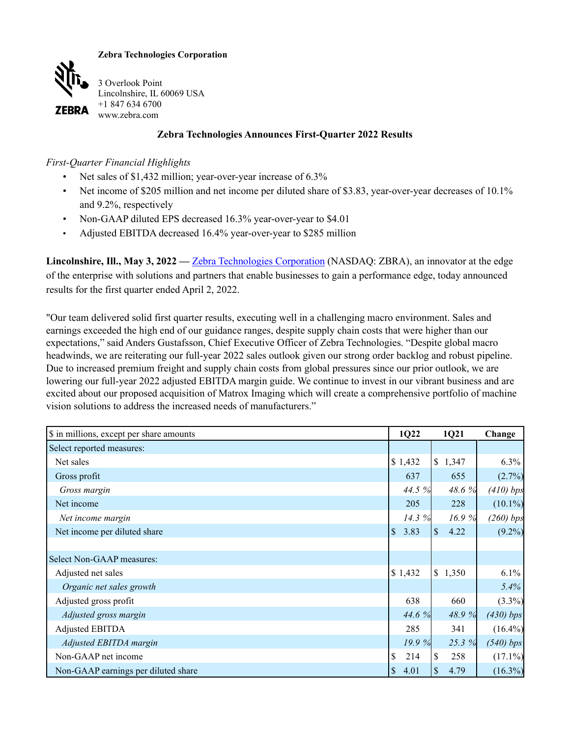#### **Zebra Technologies Corporation**



3 Overlook Point Lincolnshire, IL 60069 USA +1 847 634 6700 www.zebra.com

### **Zebra Technologies Announces First-Quarter 2022 Results**

### *First-Quarter Financial Highlights*

- Net sales of \$1,432 million; year-over-year increase of 6.3%
- Net income of \$205 million and net income per diluted share of \$3.83, year-over-year decreases of 10.1% and 9.2%, respectively
- Non-GAAP diluted EPS decreased 16.3% year-over-year to \$4.01
- Adjusted EBITDA decreased 16.4% year-over-year to \$285 million

**Lincolnshire, Ill., May 3, 2022 —** [Zebra Technologies Corporation](https://www.zebra.com/us/en.html) (NASDAQ: ZBRA), an innovator at the edge of the enterprise with solutions and partners that enable businesses to gain a performance edge, today announced results for the first quarter ended April 2, 2022.

"Our team delivered solid first quarter results, executing well in a challenging macro environment. Sales and earnings exceeded the high end of our guidance ranges, despite supply chain costs that were higher than our expectations," said Anders Gustafsson, Chief Executive Officer of Zebra Technologies. "Despite global macro headwinds, we are reiterating our full-year 2022 sales outlook given our strong order backlog and robust pipeline. Due to increased premium freight and supply chain costs from global pressures since our prior outlook, we are lowering our full-year 2022 adjusted EBITDA margin guide. We continue to invest in our vibrant business and are excited about our proposed acquisition of Matrox Imaging which will create a comprehensive portfolio of machine vision solutions to address the increased needs of manufacturers."

| \$ in millions, except per share amounts | 1Q22                 | 1Q21                  | Change      |
|------------------------------------------|----------------------|-----------------------|-------------|
| Select reported measures:                |                      |                       |             |
| Net sales                                | \$1,432              | \$1,347               | 6.3%        |
| Gross profit                             | 637                  | 655                   | $(2.7\%)$   |
| Gross margin                             | 44.5 %               | 48.6 %                | $(410)$ bps |
| Net income                               | 205                  | 228                   | $(10.1\%)$  |
| Net income margin                        | 14.3 %               | 16.9%                 | $(260)$ bps |
| Net income per diluted share             | 3.83<br>$\mathbb{S}$ | 4.22<br>$\mathbb{S}$  | $(9.2\%)$   |
|                                          |                      |                       |             |
| Select Non-GAAP measures:                |                      |                       |             |
| Adjusted net sales                       | \$1,432              | \$1,350               | 6.1%        |
| Organic net sales growth                 |                      |                       | 5.4%        |
| Adjusted gross profit                    | 638                  | 660                   | $(3.3\%)$   |
| Adjusted gross margin                    | 44.6 %               | 48.9%                 | (430) bps   |
| Adjusted EBITDA                          | 285                  | 341                   | $(16.4\%)$  |
| Adjusted EBITDA margin                   | 19.9 %               | 25.3 %                | $(540)$ bps |
| Non-GAAP net income                      | \$<br>214            | S<br>258              | $(17.1\%)$  |
| Non-GAAP earnings per diluted share      | $\mathbb{S}$<br>4.01 | <sup>\$</sup><br>4.79 | $(16.3\%)$  |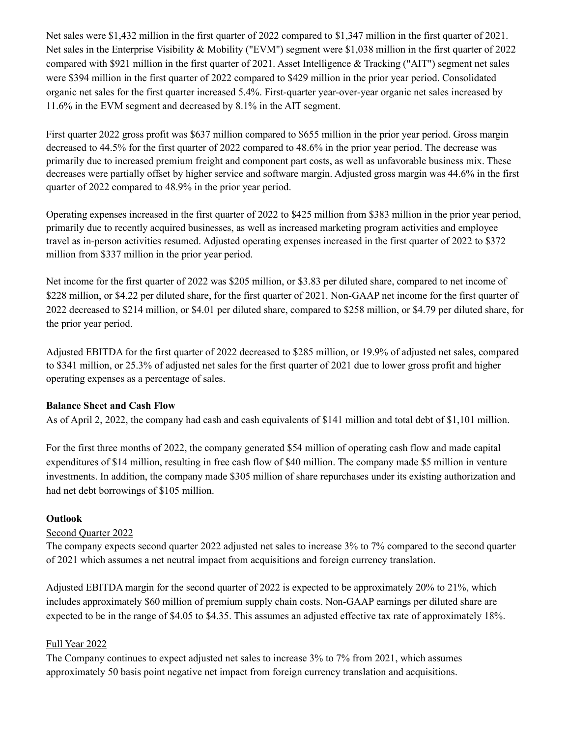Net sales were \$1,432 million in the first quarter of 2022 compared to \$1,347 million in the first quarter of 2021. Net sales in the Enterprise Visibility & Mobility ("EVM") segment were \$1,038 million in the first quarter of 2022 compared with \$921 million in the first quarter of 2021. Asset Intelligence & Tracking ("AIT") segment net sales were \$394 million in the first quarter of 2022 compared to \$429 million in the prior year period. Consolidated organic net sales for the first quarter increased 5.4%. First-quarter year-over-year organic net sales increased by 11.6% in the EVM segment and decreased by 8.1% in the AIT segment.

First quarter 2022 gross profit was \$637 million compared to \$655 million in the prior year period. Gross margin decreased to 44.5% for the first quarter of 2022 compared to 48.6% in the prior year period. The decrease was primarily due to increased premium freight and component part costs, as well as unfavorable business mix. These decreases were partially offset by higher service and software margin. Adjusted gross margin was 44.6% in the first quarter of 2022 compared to 48.9% in the prior year period.

Operating expenses increased in the first quarter of 2022 to \$425 million from \$383 million in the prior year period, primarily due to recently acquired businesses, as well as increased marketing program activities and employee travel as in-person activities resumed. Adjusted operating expenses increased in the first quarter of 2022 to \$372 million from \$337 million in the prior year period.

Net income for the first quarter of 2022 was \$205 million, or \$3.83 per diluted share, compared to net income of \$228 million, or \$4.22 per diluted share, for the first quarter of 2021. Non-GAAP net income for the first quarter of 2022 decreased to \$214 million, or \$4.01 per diluted share, compared to \$258 million, or \$4.79 per diluted share, for the prior year period.

Adjusted EBITDA for the first quarter of 2022 decreased to \$285 million, or 19.9% of adjusted net sales, compared to \$341 million, or 25.3% of adjusted net sales for the first quarter of 2021 due to lower gross profit and higher operating expenses as a percentage of sales.

# **Balance Sheet and Cash Flow**

As of April 2, 2022, the company had cash and cash equivalents of \$141 million and total debt of \$1,101 million.

For the first three months of 2022, the company generated \$54 million of operating cash flow and made capital expenditures of \$14 million, resulting in free cash flow of \$40 million. The company made \$5 million in venture investments. In addition, the company made \$305 million of share repurchases under its existing authorization and had net debt borrowings of \$105 million.

### **Outlook**

### Second Quarter 2022

The company expects second quarter 2022 adjusted net sales to increase 3% to 7% compared to the second quarter of 2021 which assumes a net neutral impact from acquisitions and foreign currency translation.

Adjusted EBITDA margin for the second quarter of 2022 is expected to be approximately 20% to 21%, which includes approximately \$60 million of premium supply chain costs. Non-GAAP earnings per diluted share are expected to be in the range of \$4.05 to \$4.35. This assumes an adjusted effective tax rate of approximately 18%.

# Full Year 2022

The Company continues to expect adjusted net sales to increase 3% to 7% from 2021, which assumes approximately 50 basis point negative net impact from foreign currency translation and acquisitions.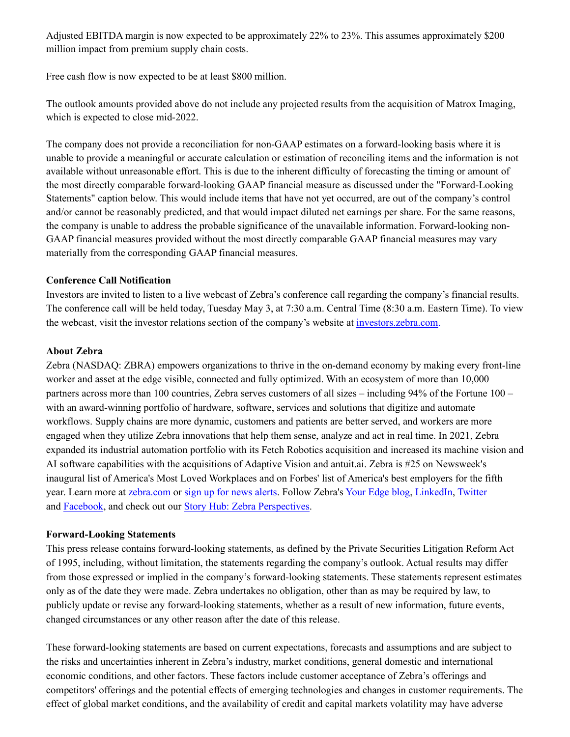Adjusted EBITDA margin is now expected to be approximately 22% to 23%. This assumes approximately \$200 million impact from premium supply chain costs.

Free cash flow is now expected to be at least \$800 million.

The outlook amounts provided above do not include any projected results from the acquisition of Matrox Imaging, which is expected to close mid-2022.

The company does not provide a reconciliation for non-GAAP estimates on a forward-looking basis where it is unable to provide a meaningful or accurate calculation or estimation of reconciling items and the information is not available without unreasonable effort. This is due to the inherent difficulty of forecasting the timing or amount of the most directly comparable forward-looking GAAP financial measure as discussed under the "Forward-Looking Statements" caption below. This would include items that have not yet occurred, are out of the company's control and/or cannot be reasonably predicted, and that would impact diluted net earnings per share. For the same reasons, the company is unable to address the probable significance of the unavailable information. Forward-looking non-GAAP financial measures provided without the most directly comparable GAAP financial measures may vary materially from the corresponding GAAP financial measures.

## **Conference Call Notification**

Investors are invited to listen to a live webcast of Zebra's conference call regarding the company's financial results. The conference call will be held today, Tuesday May 3, at 7:30 a.m. Central Time (8:30 a.m. Eastern Time). To view the webcast, visit the investor relations section of the company's website at [investors.zebra.com.](https://investors.zebra.com/overview/default.aspx)

## **About Zebra**

Zebra (NASDAQ: ZBRA) empowers organizations to thrive in the on-demand economy by making every front-line worker and asset at the edge visible, connected and fully optimized. With an ecosystem of more than 10,000 partners across more than 100 countries, Zebra serves customers of all sizes – including 94% of the Fortune 100 – with an award-winning portfolio of hardware, software, services and solutions that digitize and automate workflows. Supply chains are more dynamic, customers and patients are better served, and workers are more engaged when they utilize Zebra innovations that help them sense, analyze and act in real time. In 2021, Zebra expanded its industrial automation portfolio with its Fetch Robotics acquisition and increased its machine vision and AI software capabilities with the acquisitions of Adaptive Vision and antuit.ai. Zebra is #25 on Newsweek's inaugural list of America's Most Loved Workplaces and on Forbes' list of America's best employers for the fifth year. Learn more at [zebra.com](https://www.zebra.com/us/en.html) or [sign up for news alerts.](https://investors.zebra.com/resources/email-alerts/default.aspx) Follow Zebra's [Your Edge blog,](https://www.zebra.com/us/en/blog.html) [LinkedIn,](https://www.linkedin.com/company/zebra-technologies/) [Twitter](https://twitter.com/zebratechnology) and [Facebook,](https://www.facebook.com/ZebraTechnologiesGlobal/) and check out our [Story Hub: Zebra Perspectives.](https://www.zebra.com/us/en/about-zebra/newsroom.html)

### **Forward-Looking Statements**

This press release contains forward-looking statements, as defined by the Private Securities Litigation Reform Act of 1995, including, without limitation, the statements regarding the company's outlook. Actual results may differ from those expressed or implied in the company's forward-looking statements. These statements represent estimates only as of the date they were made. Zebra undertakes no obligation, other than as may be required by law, to publicly update or revise any forward-looking statements, whether as a result of new information, future events, changed circumstances or any other reason after the date of this release.

These forward-looking statements are based on current expectations, forecasts and assumptions and are subject to the risks and uncertainties inherent in Zebra's industry, market conditions, general domestic and international economic conditions, and other factors. These factors include customer acceptance of Zebra's offerings and competitors' offerings and the potential effects of emerging technologies and changes in customer requirements. The effect of global market conditions, and the availability of credit and capital markets volatility may have adverse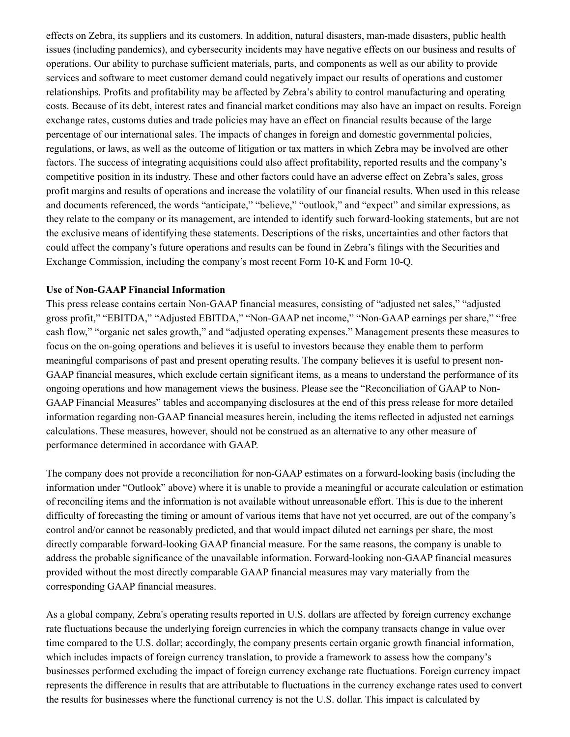effects on Zebra, its suppliers and its customers. In addition, natural disasters, man-made disasters, public health issues (including pandemics), and cybersecurity incidents may have negative effects on our business and results of operations. Our ability to purchase sufficient materials, parts, and components as well as our ability to provide services and software to meet customer demand could negatively impact our results of operations and customer relationships. Profits and profitability may be affected by Zebra's ability to control manufacturing and operating costs. Because of its debt, interest rates and financial market conditions may also have an impact on results. Foreign exchange rates, customs duties and trade policies may have an effect on financial results because of the large percentage of our international sales. The impacts of changes in foreign and domestic governmental policies, regulations, or laws, as well as the outcome of litigation or tax matters in which Zebra may be involved are other factors. The success of integrating acquisitions could also affect profitability, reported results and the company's competitive position in its industry. These and other factors could have an adverse effect on Zebra's sales, gross profit margins and results of operations and increase the volatility of our financial results. When used in this release and documents referenced, the words "anticipate," "believe," "outlook," and "expect" and similar expressions, as they relate to the company or its management, are intended to identify such forward-looking statements, but are not the exclusive means of identifying these statements. Descriptions of the risks, uncertainties and other factors that could affect the company's future operations and results can be found in Zebra's filings with the Securities and Exchange Commission, including the company's most recent Form 10-K and Form 10-Q.

#### **Use of Non-GAAP Financial Information**

This press release contains certain Non-GAAP financial measures, consisting of "adjusted net sales," "adjusted gross profit," "EBITDA," "Adjusted EBITDA," "Non-GAAP net income," "Non-GAAP earnings per share," "free cash flow," "organic net sales growth," and "adjusted operating expenses." Management presents these measures to focus on the on-going operations and believes it is useful to investors because they enable them to perform meaningful comparisons of past and present operating results. The company believes it is useful to present non-GAAP financial measures, which exclude certain significant items, as a means to understand the performance of its ongoing operations and how management views the business. Please see the "Reconciliation of GAAP to Non-GAAP Financial Measures" tables and accompanying disclosures at the end of this press release for more detailed information regarding non-GAAP financial measures herein, including the items reflected in adjusted net earnings calculations. These measures, however, should not be construed as an alternative to any other measure of performance determined in accordance with GAAP.

The company does not provide a reconciliation for non-GAAP estimates on a forward-looking basis (including the information under "Outlook" above) where it is unable to provide a meaningful or accurate calculation or estimation of reconciling items and the information is not available without unreasonable effort. This is due to the inherent difficulty of forecasting the timing or amount of various items that have not yet occurred, are out of the company's control and/or cannot be reasonably predicted, and that would impact diluted net earnings per share, the most directly comparable forward-looking GAAP financial measure. For the same reasons, the company is unable to address the probable significance of the unavailable information. Forward-looking non-GAAP financial measures provided without the most directly comparable GAAP financial measures may vary materially from the corresponding GAAP financial measures.

As a global company, Zebra's operating results reported in U.S. dollars are affected by foreign currency exchange rate fluctuations because the underlying foreign currencies in which the company transacts change in value over time compared to the U.S. dollar; accordingly, the company presents certain organic growth financial information, which includes impacts of foreign currency translation, to provide a framework to assess how the company's businesses performed excluding the impact of foreign currency exchange rate fluctuations. Foreign currency impact represents the difference in results that are attributable to fluctuations in the currency exchange rates used to convert the results for businesses where the functional currency is not the U.S. dollar. This impact is calculated by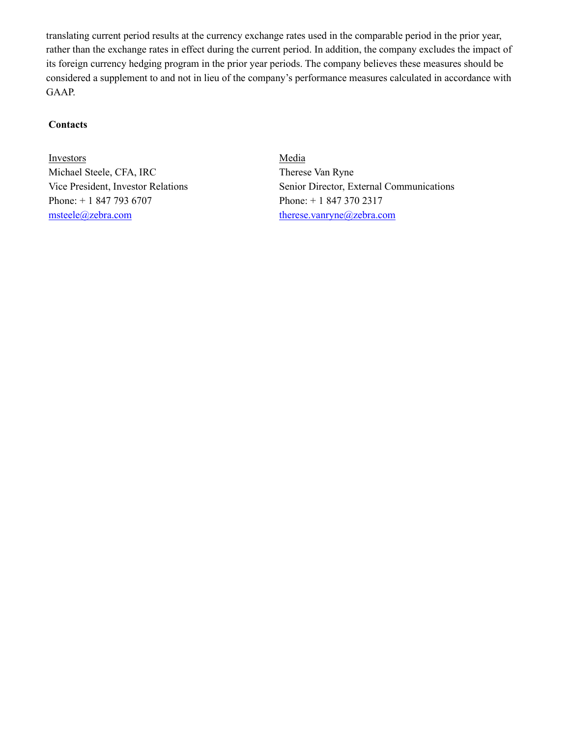translating current period results at the currency exchange rates used in the comparable period in the prior year, rather than the exchange rates in effect during the current period. In addition, the company excludes the impact of its foreign currency hedging program in the prior year periods. The company believes these measures should be considered a supplement to and not in lieu of the company's performance measures calculated in accordance with GAAP.

### **Contacts**

Investors Media Michael Steele, CFA, IRC Therese Van Ryne Phone: + 1 847 793 6707 Phone: + 1 847 370 2317 msteele@zebra.com therese.vanryne@zebra.com

Vice President, Investor Relations Senior Director, External Communications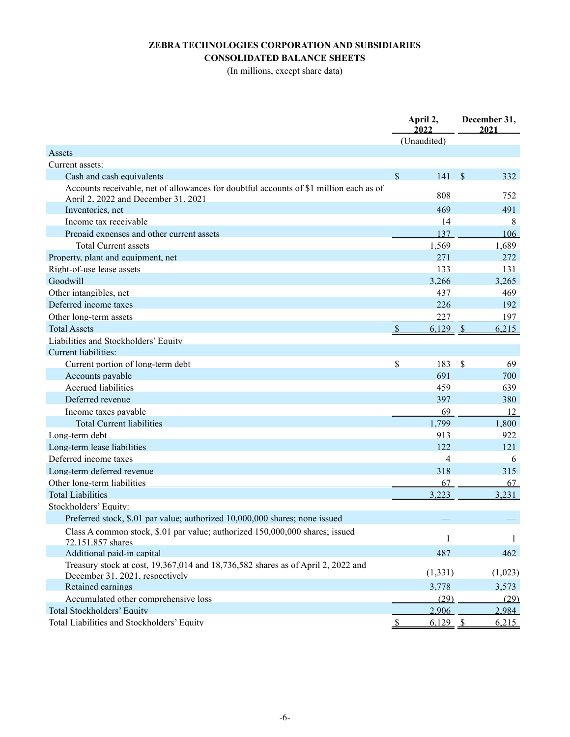# **ZEBRA TECHNOLOGIES CORPORATION AND SUBSIDIARIES**

**CONSOLIDATED BALANCE SHEETS**

(In millions, except share data)

|                                                                                                                               |              | April 2,<br>2022 |               | December 31,<br>2021 |
|-------------------------------------------------------------------------------------------------------------------------------|--------------|------------------|---------------|----------------------|
|                                                                                                                               |              | (Unaudited)      |               |                      |
| Assets                                                                                                                        |              |                  |               |                      |
| Current assets:                                                                                                               |              |                  |               |                      |
| Cash and cash equivalents                                                                                                     | $\mathbb{S}$ | 141              | $\mathcal{S}$ | 332                  |
| Accounts receivable, net of allowances for doubtful accounts of \$1 million each as of<br>Anril 2, 2022 and December 31, 2021 |              | 808              |               | 752                  |
| Inventories, net                                                                                                              |              | 469              |               | 491                  |
| Income tax receivable                                                                                                         |              | 14               |               | 8                    |
| Prepaid expenses and other current assets                                                                                     |              | 137              |               | 106                  |
| <b>Total Current assets</b>                                                                                                   |              | 1,569            |               | 1,689                |
| Property, plant and equipment, net                                                                                            |              | 271              |               | 272                  |
| Right-of-use lease assets                                                                                                     |              | 133              |               | 131                  |
| Goodwill                                                                                                                      |              | 3,266            |               | 3,265                |
| Other intangibles, net                                                                                                        |              | 437              |               | 469                  |
| Deferred income taxes                                                                                                         |              | 226              |               | 192                  |
| Other long-term assets                                                                                                        |              | 227              |               | 197                  |
| <b>Total Assets</b>                                                                                                           |              | 6,129            |               | 6,215                |
| Liabilities and Stockholders' Equity                                                                                          |              |                  |               |                      |
| Current liabilities:                                                                                                          |              |                  |               |                      |
| Current portion of long-term debt                                                                                             | \$           | 183              | \$            | 69                   |
| Accounts payable                                                                                                              |              | 691              |               | 700                  |
| <b>Accrued liabilities</b>                                                                                                    |              | 459              |               | 639                  |
| Deferred revenue                                                                                                              |              | 397              |               | 380                  |
| Income taxes payable                                                                                                          |              | 69               |               | 12                   |
| <b>Total Current liabilities</b>                                                                                              |              | 1,799            |               | 1,800                |
| Long-term debt                                                                                                                |              | 913              |               | 922                  |
| Long-term lease liabilities                                                                                                   |              | 122              |               | 121                  |
| Deferred income taxes                                                                                                         |              | 4                |               | 6                    |
| Long-term deferred revenue                                                                                                    |              | 318              |               | 315                  |
| Other long-term liabilities                                                                                                   |              | 67               |               | 67                   |
| <b>Total Liabilities</b>                                                                                                      |              | 3,223            |               | 3,231                |
| Stockholders' Equity:                                                                                                         |              |                  |               |                      |
| Preferred stock, \$.01 par value; authorized 10,000,000 shares; none issued                                                   |              |                  |               |                      |
| Class A common stock, \$.01 par value; authorized 150,000,000 shares; issued<br>72.151.857 shares                             |              | $\mathbf{1}$     |               | $\mathbf{1}$         |
| Additional paid-in capital                                                                                                    |              | 487              |               | 462                  |
| Treasury stock at cost, 19,367,014 and 18,736,582 shares as of April 2, 2022 and<br>December 31, 2021, respectively           |              | (1, 331)         |               | (1,023)              |
| Retained earnings                                                                                                             |              | 3,778            |               | 3,573                |
| Accumulated other comprehensive loss                                                                                          |              | (29)             |               | (29)                 |
| Total Stockholders' Equity                                                                                                    |              | 2,906            |               | 2,984                |
| Total Liabilities and Stockholders' Equity                                                                                    | \$           | $6,129$ \$       |               | 6,215                |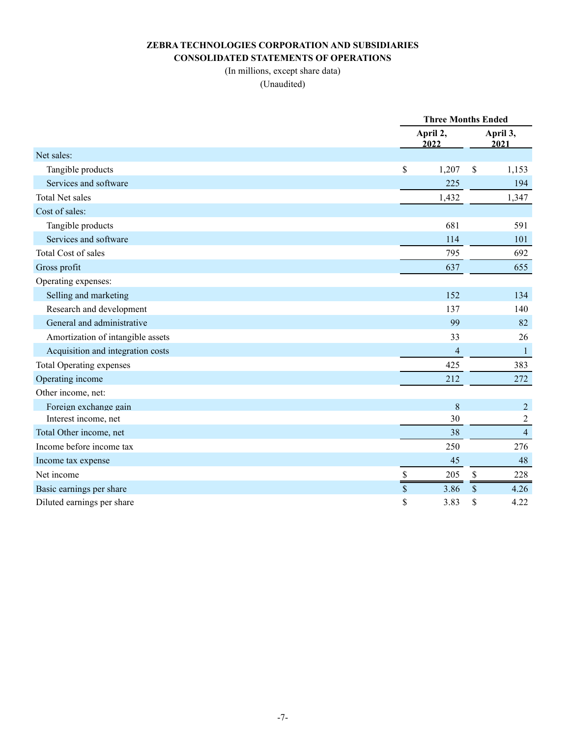# **ZEBRA TECHNOLOGIES CORPORATION AND SUBSIDIARIES CONSOLIDATED STATEMENTS OF OPERATIONS**

(In millions, except share data)

(Unaudited)

|                                   |              | <b>Three Months Ended</b> |      |                  |  |
|-----------------------------------|--------------|---------------------------|------|------------------|--|
|                                   |              | April 2,<br>2022          |      | April 3,<br>2021 |  |
| Net sales:                        |              |                           |      |                  |  |
| Tangible products                 | \$           | 1,207                     | \$   | 1,153            |  |
| Services and software             |              | 225                       |      | 194              |  |
| <b>Total Net sales</b>            |              | 1,432                     |      | 1,347            |  |
| Cost of sales:                    |              |                           |      |                  |  |
| Tangible products                 |              | 681                       |      | 591              |  |
| Services and software             |              | 114                       |      | 101              |  |
| Total Cost of sales               |              | 795                       |      | 692              |  |
| Gross profit                      |              | 637                       |      | 655              |  |
| Operating expenses:               |              |                           |      |                  |  |
| Selling and marketing             |              | 152                       |      | 134              |  |
| Research and development          |              | 137                       |      | 140              |  |
| General and administrative        |              | 99                        |      | 82               |  |
| Amortization of intangible assets |              | 33                        |      | 26               |  |
| Acquisition and integration costs |              | $\overline{4}$            |      | -1               |  |
| Total Operating expenses          |              | 425                       |      | 383              |  |
| Operating income                  |              | 212                       |      | 272              |  |
| Other income, net:                |              |                           |      |                  |  |
| Foreign exchange gain             |              | 8                         |      | $\overline{2}$   |  |
| Interest income, net              |              | 30                        |      | $\overline{c}$   |  |
| Total Other income, net           |              | 38                        |      | $\overline{4}$   |  |
| Income before income tax          |              | 250                       |      | 276              |  |
| Income tax expense                |              | 45                        |      | 48               |  |
| Net income                        | \$           | 205                       | $\$$ | 228              |  |
| Basic earnings per share          | $\mathbb{S}$ | 3.86                      | \$   | 4.26             |  |
| Diluted earnings per share        | \$           | 3.83                      | \$   | 4.22             |  |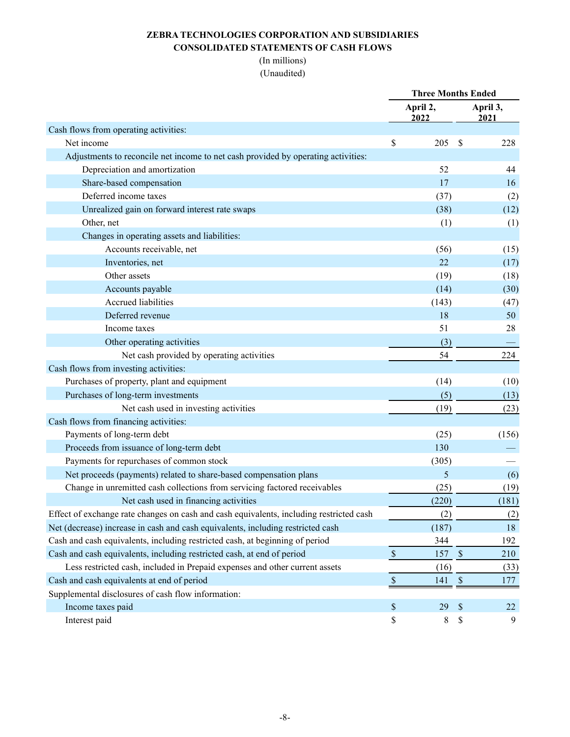# **ZEBRA TECHNOLOGIES CORPORATION AND SUBSIDIARIES CONSOLIDATED STATEMENTS OF CASH FLOWS**

# (In millions)

(Unaudited)

|                                                                                         |                           | <b>Three Months Ended</b> |                           |                  |
|-----------------------------------------------------------------------------------------|---------------------------|---------------------------|---------------------------|------------------|
|                                                                                         |                           | April 2,<br>2022          |                           | April 3,<br>2021 |
| Cash flows from operating activities:                                                   |                           |                           |                           |                  |
| Net income                                                                              | S                         | 205                       | \$                        | 228              |
| Adjustments to reconcile net income to net cash provided by operating activities:       |                           |                           |                           |                  |
| Depreciation and amortization                                                           |                           | 52                        |                           | 44               |
| Share-based compensation                                                                |                           | 17                        |                           | 16               |
| Deferred income taxes                                                                   |                           | (37)                      |                           | (2)              |
| Unrealized gain on forward interest rate swaps                                          |                           | (38)                      |                           | (12)             |
| Other, net                                                                              |                           | (1)                       |                           | (1)              |
| Changes in operating assets and liabilities:                                            |                           |                           |                           |                  |
| Accounts receivable, net                                                                |                           | (56)                      |                           | (15)             |
| Inventories, net                                                                        |                           | 22                        |                           | (17)             |
| Other assets                                                                            |                           | (19)                      |                           | (18)             |
| Accounts payable                                                                        |                           | (14)                      |                           | (30)             |
| <b>Accrued liabilities</b>                                                              |                           | (143)                     |                           | (47)             |
| Deferred revenue                                                                        |                           | 18                        |                           | 50               |
| Income taxes                                                                            |                           | 51                        |                           | 28               |
| Other operating activities                                                              |                           | (3)                       |                           |                  |
| Net cash provided by operating activities                                               |                           | 54                        |                           | 224              |
| Cash flows from investing activities:                                                   |                           |                           |                           |                  |
| Purchases of property, plant and equipment                                              |                           | (14)                      |                           | (10)             |
| Purchases of long-term investments                                                      |                           | (5)                       |                           | (13)             |
| Net cash used in investing activities                                                   |                           | (19)                      |                           | (23)             |
| Cash flows from financing activities:                                                   |                           |                           |                           |                  |
| Payments of long-term debt                                                              |                           | (25)                      |                           | (156)            |
| Proceeds from issuance of long-term debt                                                |                           | 130                       |                           |                  |
| Payments for repurchases of common stock                                                |                           | (305)                     |                           |                  |
| Net proceeds (payments) related to share-based compensation plans                       |                           | 5                         |                           | (6)              |
| Change in unremitted cash collections from servicing factored receivables               |                           | (25)                      |                           | (19)             |
| Net cash used in financing activities                                                   |                           | (220)                     |                           | (181)            |
| Effect of exchange rate changes on cash and cash equivalents, including restricted cash |                           | (2)                       |                           | (2)              |
| Net (decrease) increase in cash and cash equivalents, including restricted cash         |                           | (187)                     |                           | 18               |
| Cash and cash equivalents, including restricted cash, at beginning of period            |                           | 344                       |                           | 192              |
| Cash and cash equivalents, including restricted cash, at end of period                  | $\mathbb{S}$              | 157                       | $\sqrt{3}$                | 210              |
| Less restricted cash, included in Prepaid expenses and other current assets             |                           | (16)                      |                           | (33)             |
| Cash and cash equivalents at end of period                                              | \$                        | 141                       | $\mathcal{S}$             | 177              |
| Supplemental disclosures of cash flow information:                                      |                           |                           |                           |                  |
| Income taxes paid                                                                       | $\boldsymbol{\mathsf{S}}$ | 29                        | $\boldsymbol{\mathsf{S}}$ | 22               |
| Interest paid                                                                           | \$                        | 8                         | \$                        | 9                |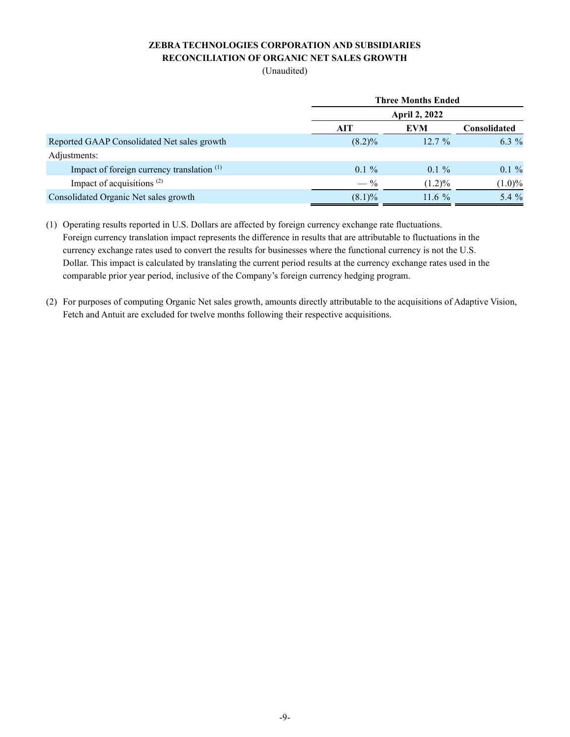#### **ZEBRA TECHNOLOGIES CORPORATION AND SUBSIDIARIES RECONCILIATION OF ORGANIC NET SALES GROWTH**

(Unaudited)

|                                                       | <b>Three Months Ended</b><br><b>April 2, 2022</b> |            |                     |  |  |  |
|-------------------------------------------------------|---------------------------------------------------|------------|---------------------|--|--|--|
|                                                       |                                                   |            |                     |  |  |  |
|                                                       | AIT                                               | <b>EVM</b> | <b>Consolidated</b> |  |  |  |
| Reported GAAP Consolidated Net sales growth           | $(8.2)\%$                                         | $12.7\%$   | $6.3\%$             |  |  |  |
| Adjustments:                                          |                                                   |            |                     |  |  |  |
| Impact of foreign currency translation <sup>(1)</sup> | $0.1\%$                                           | $0.1 \%$   | $0.1 \%$            |  |  |  |
| Impact of acquisitions $(2)$                          | $- \frac{9}{6}$                                   | $(1.2)\%$  | $(1.0)\%$           |  |  |  |
| Consolidated Organic Net sales growth                 | $(8.1)\%$                                         | 11.6 $%$   | 5.4 $%$             |  |  |  |

(1) Operating results reported in U.S. Dollars are affected by foreign currency exchange rate fluctuations. Foreign currency translation impact represents the difference in results that are attributable to fluctuations in the currency exchange rates used to convert the results for businesses where the functional currency is not the U.S. Dollar. This impact is calculated by translating the current period results at the currency exchange rates used in the comparable prior year period, inclusive of the Company's foreign currency hedging program.

(2) For purposes of computing Organic Net sales growth, amounts directly attributable to the acquisitions of Adaptive Vision, Fetch and Antuit are excluded for twelve months following their respective acquisitions.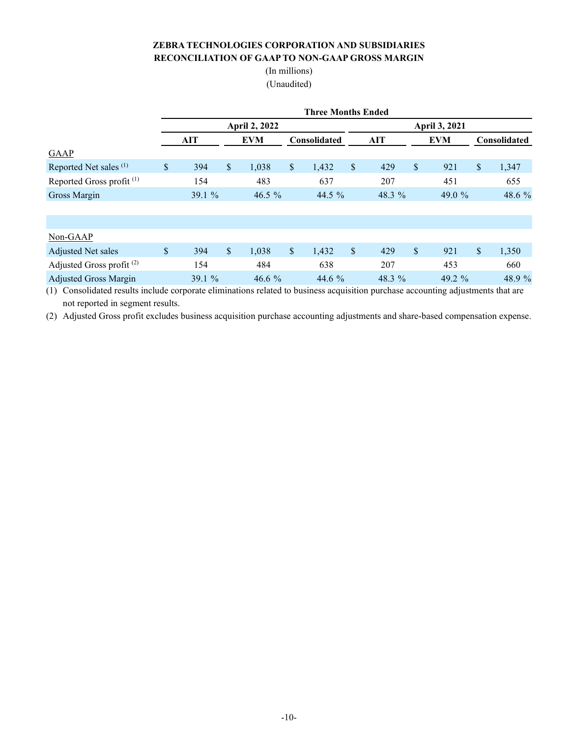# **ZEBRA TECHNOLOGIES CORPORATION AND SUBSIDIARIES**

#### **RECONCILIATION OF GAAP TO NON-GAAP GROSS MARGIN**

(In millions) (Unaudited)

|                                      | <b>Three Months Ended</b> |        |               |               |    |              |              |            |                           |               |    |              |
|--------------------------------------|---------------------------|--------|---------------|---------------|----|--------------|--------------|------------|---------------------------|---------------|----|--------------|
|                                      |                           |        |               | April 2, 2022 |    |              |              |            |                           | April 3, 2021 |    |              |
|                                      |                           | AIT    |               | <b>EVM</b>    |    | Consolidated |              | <b>AIT</b> |                           | <b>EVM</b>    |    | Consolidated |
| GAAP                                 |                           |        |               |               |    |              |              |            |                           |               |    |              |
| Reported Net sales <sup>(1)</sup>    | \$                        | 394    | $\mathcal{S}$ | 1,038         | \$ | 1,432        | \$           | 429        | $\boldsymbol{\mathsf{S}}$ | 921           | \$ | 1,347        |
| Reported Gross profit <sup>(1)</sup> |                           | 154    |               | 483           |    | 637          |              | 207        |                           | 451           |    | 655          |
| <b>Gross Margin</b>                  |                           | 39.1 % |               | 46.5 $%$      |    | 44.5 %       |              | 48.3 %     |                           | 49.0 %        |    | 48.6 %       |
|                                      |                           |        |               |               |    |              |              |            |                           |               |    |              |
|                                      |                           |        |               |               |    |              |              |            |                           |               |    |              |
| Non-GAAP                             |                           |        |               |               |    |              |              |            |                           |               |    |              |
| Adjusted Net sales                   | \$                        | 394    | $\mathbb{S}$  | 1,038         | \$ | 1,432        | $\mathbb{S}$ | 429        | $\mathbb{S}$              | 921           | \$ | 1,350        |
| Adjusted Gross profit <sup>(2)</sup> |                           | 154    |               | 484           |    | 638          |              | 207        |                           | 453           |    | 660          |
| <b>Adjusted Gross Margin</b>         |                           | 39.1 % |               | 46.6 %        |    | 44.6 %       |              | 48.3 %     |                           | 49.2 %        |    | 48.9 %       |
|                                      |                           |        |               |               |    |              |              |            |                           |               |    |              |

(1) Consolidated results include corporate eliminations related to business acquisition purchase accounting adjustments that are not reported in segment results.

(2) Adjusted Gross profit excludes business acquisition purchase accounting adjustments and share-based compensation expense.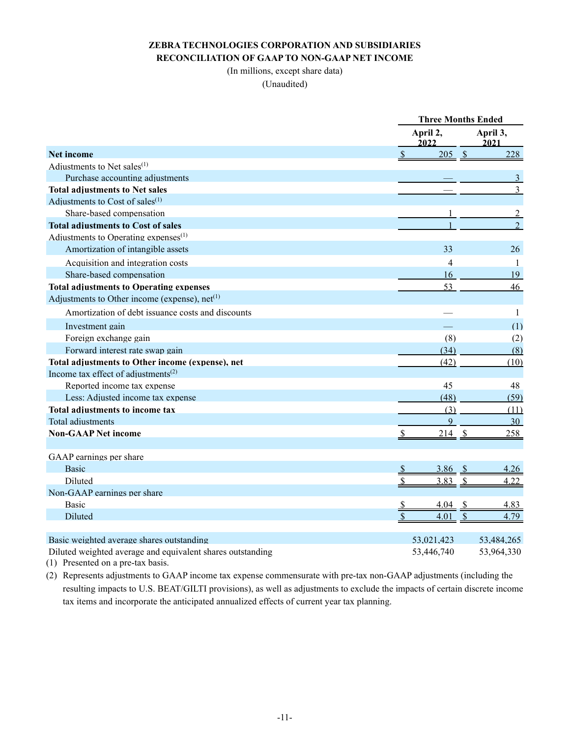# **ZEBRA TECHNOLOGIES CORPORATION AND SUBSIDIARIES**

### **RECONCILIATION OF GAAP TO NON-GAAP NET INCOME**

(In millions, except share data)

(Unaudited)

|                                                            |                      | <b>Three Months Ended</b> |                  |  |  |
|------------------------------------------------------------|----------------------|---------------------------|------------------|--|--|
|                                                            | April 2,<br>2022     |                           | April 3,<br>2021 |  |  |
| <b>Net income</b>                                          | $\mathcal{S}$<br>205 | $\mathbf{\hat{s}}$        | 228              |  |  |
| Adjustments to Net sales $^{(1)}$                          |                      |                           |                  |  |  |
| Purchase accounting adjustments                            |                      |                           | 3                |  |  |
| <b>Total adjustments to Net sales</b>                      |                      |                           | $\mathcal{E}$    |  |  |
| Adjustments to Cost of sales $(1)$                         |                      |                           |                  |  |  |
| Share-based compensation                                   |                      |                           | 2                |  |  |
| <b>Total adjustments to Cost of sales</b>                  |                      |                           | $\mathcal{D}$    |  |  |
| Adjustments to Operating expenses <sup>(1)</sup>           |                      |                           |                  |  |  |
| Amortization of intangible assets                          | 33                   |                           | 26               |  |  |
| Acquisition and integration costs                          | 4                    |                           | -1               |  |  |
| Share-based compensation                                   | 16                   |                           | 19               |  |  |
| <b>Total adiustments to Operating expenses</b>             | 53                   |                           | 46               |  |  |
| Adjustments to Other income (expense), $net^{(1)}$         |                      |                           |                  |  |  |
| Amortization of debt issuance costs and discounts          |                      |                           | 1                |  |  |
| Investment gain                                            |                      |                           | (1)              |  |  |
| Foreign exchange gain                                      | (8)                  |                           | (2)              |  |  |
| Forward interest rate swap gain                            | (34)                 |                           | (8)              |  |  |
| Total adjustments to Other income (expense), net           | (42)                 |                           | (10)             |  |  |
| Income tax effect of adjustments <sup>(2)</sup>            |                      |                           |                  |  |  |
| Reported income tax expense                                | 45                   |                           | 48               |  |  |
| Less: Adjusted income tax expense                          | (48)                 |                           | (59)             |  |  |
| Total adiustments to income tax                            | (3)                  |                           | (11)             |  |  |
| Total adjustments                                          |                      | 9                         | 30               |  |  |
| <b>Non-GAAP Net income</b>                                 |                      | 214S                      | 258              |  |  |
| GAAP earnings per share                                    |                      |                           |                  |  |  |
| <b>Basic</b>                                               |                      | $3.86$ \$                 | 4.26             |  |  |
| Diluted                                                    | 3.83                 |                           | 4.22             |  |  |
| Non-GAAP earnings per share                                |                      |                           |                  |  |  |
| Basic                                                      | 4.04                 |                           | 4.83             |  |  |
| Diluted                                                    | 4.01                 |                           | 4.79             |  |  |
|                                                            |                      |                           |                  |  |  |
| Basic weighted average shares outstanding                  | 53,021,423           |                           | 53,484,265       |  |  |
| Diluted weighted average and equivalent shares outstanding | 53,446,740           |                           | 53,964,330       |  |  |

(1) Presented on a pre-tax basis.

(2) Represents adjustments to GAAP income tax expense commensurate with pre-tax non-GAAP adjustments (including the resulting impacts to U.S. BEAT/GILTI provisions), as well as adjustments to exclude the impacts of certain discrete income tax items and incorporate the anticipated annualized effects of current year tax planning.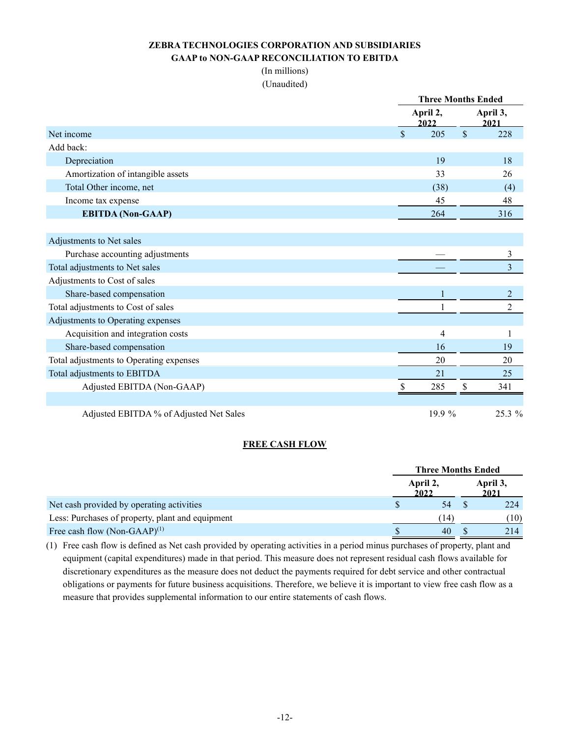#### **ZEBRA TECHNOLOGIES CORPORATION AND SUBSIDIARIES GAAP to NON-GAAP RECONCILIATION TO EBITDA**

# (In millions)

(Unaudited)

|                                         |                     | <b>Three Months Ended</b> |
|-----------------------------------------|---------------------|---------------------------|
|                                         | April 2,<br>2022    | April 3,<br>2021          |
| Net income                              | $\mathbb{S}$<br>205 | $\mathbb{S}$<br>228       |
| Add back:                               |                     |                           |
| Depreciation                            | 19                  | 18                        |
| Amortization of intangible assets       | 33                  | 26                        |
| Total Other income, net                 | (38)                | (4)                       |
| Income tax expense                      | 45                  | 48                        |
| <b>EBITDA</b> (Non-GAAP)                | 264                 | 316                       |
|                                         |                     |                           |
| Adjustments to Net sales                |                     |                           |
| Purchase accounting adjustments         |                     | 3                         |
| Total adjustments to Net sales          |                     | 3                         |
| Adjustments to Cost of sales            |                     |                           |
| Share-based compensation                |                     | 2                         |
| Total adjustments to Cost of sales      |                     | $\overline{2}$            |
| Adjustments to Operating expenses       |                     |                           |
| Acquisition and integration costs       | 4                   |                           |
| Share-based compensation                | 16                  | 19                        |
| Total adjustments to Operating expenses | 20                  | 20                        |
| Total adjustments to EBITDA             | 21                  | 25                        |
| Adjusted EBITDA (Non-GAAP)              | 285                 | \$<br>341                 |
|                                         |                     |                           |
| Adjusted EBITDA % of Adjusted Net Sales | 19.9 %              | 25.3 %                    |

# **FREE CASH FLOW**

|                                                  | <b>Three Months Ended</b> |  |                  |  |  |  |
|--------------------------------------------------|---------------------------|--|------------------|--|--|--|
|                                                  | April 2,<br>2022          |  | April 3,<br>2021 |  |  |  |
| Net cash provided by operating activities        | 54                        |  | 224              |  |  |  |
| Less: Purchases of property, plant and equipment | [14]                      |  | 10)              |  |  |  |
| Free cash flow (Non-GAAP) <sup>(1)</sup>         | 40                        |  | 214              |  |  |  |

(1) Free cash flow is defined as Net cash provided by operating activities in a period minus purchases of property, plant and equipment (capital expenditures) made in that period. This measure does not represent residual cash flows available for discretionary expenditures as the measure does not deduct the payments required for debt service and other contractual obligations or payments for future business acquisitions. Therefore, we believe it is important to view free cash flow as a measure that provides supplemental information to our entire statements of cash flows.